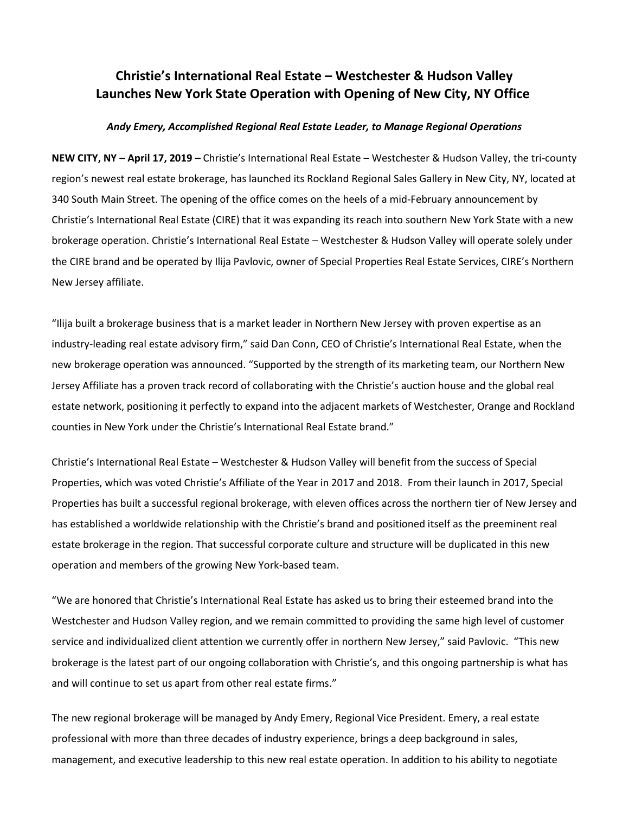## **Christie's International Real Estate – Westchester & Hudson Valley Launches New York State Operation with Opening of New City, NY Office**

## *Andy Emery, Accomplished Regional Real Estate Leader, to Manage Regional Operations*

**NEW CITY, NY – April 17, 2019 –** Christie's International Real Estate – Westchester & Hudson Valley, the tri-county region's newest real estate brokerage, has launched its Rockland Regional Sales Gallery in New City, NY, located at 340 South Main Street. The opening of the office comes on the heels of a mid-February announcement by Christie's International Real Estate (CIRE) that it was expanding its reach into southern New York State with a new brokerage operation. Christie's International Real Estate – Westchester & Hudson Valley will operate solely under the CIRE brand and be operated by Ilija Pavlovic, owner of Special Properties Real Estate Services, CIRE's Northern New Jersey affiliate.

"Ilija built a brokerage business that is a market leader in Northern New Jersey with proven expertise as an industry-leading real estate advisory firm," said Dan Conn, CEO of Christie's International Real Estate, when the new brokerage operation was announced. "Supported by the strength of its marketing team, our Northern New Jersey Affiliate has a proven track record of collaborating with the Christie's auction house and the global real estate network, positioning it perfectly to expand into the adjacent markets of Westchester, Orange and Rockland counties in New York under the Christie's International Real Estate brand."

Christie's International Real Estate – Westchester & Hudson Valley will benefit from the success of Special Properties, which was voted Christie's Affiliate of the Year in 2017 and 2018. From their launch in 2017, Special Properties has built a successful regional brokerage, with eleven offices across the northern tier of New Jersey and has established a worldwide relationship with the Christie's brand and positioned itself as the preeminent real estate brokerage in the region. That successful corporate culture and structure will be duplicated in this new operation and members of the growing New York-based team.

"We are honored that Christie's International Real Estate has asked us to bring their esteemed brand into the Westchester and Hudson Valley region, and we remain committed to providing the same high level of customer service and individualized client attention we currently offer in northern New Jersey," said Pavlovic. "This new brokerage is the latest part of our ongoing collaboration with Christie's, and this ongoing partnership is what has and will continue to set us apart from other real estate firms."

The new regional brokerage will be managed by Andy Emery, Regional Vice President. Emery, a real estate professional with more than three decades of industry experience, brings a deep background in sales, management, and executive leadership to this new real estate operation. In addition to his ability to negotiate